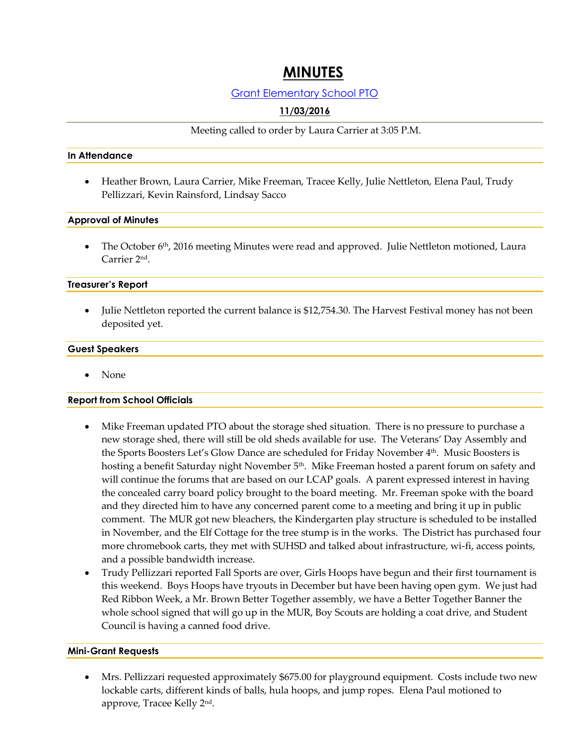# **MINUTES**

## Grant Elementary School PTO

# **11/03/2016**

Meeting called to order by Laura Carrier at 3:05 P.M.

#### **In Attendance**

• Heather Brown, Laura Carrier, Mike Freeman, Tracee Kelly, Julie Nettleton, Elena Paul, Trudy Pellizzari, Kevin Rainsford, Lindsay Sacco

#### **Approval of Minutes**

• The October 6<sup>th</sup>, 2016 meeting Minutes were read and approved. Julie Nettleton motioned, Laura Carrier 2<sup>nd</sup>.

#### **Treasurer's Report**

 Julie Nettleton reported the current balance is \$12,754.30. The Harvest Festival money has not been deposited yet.

#### **Guest Speakers**

None

## **Report from School Officials**

- Mike Freeman updated PTO about the storage shed situation. There is no pressure to purchase a new storage shed, there will still be old sheds available for use. The Veterans' Day Assembly and the Sports Boosters Let's Glow Dance are scheduled for Friday November 4th. Music Boosters is hosting a benefit Saturday night November  $5<sup>th</sup>$ . Mike Freeman hosted a parent forum on safety and will continue the forums that are based on our LCAP goals. A parent expressed interest in having the concealed carry board policy brought to the board meeting. Mr. Freeman spoke with the board and they directed him to have any concerned parent come to a meeting and bring it up in public comment. The MUR got new bleachers, the Kindergarten play structure is scheduled to be installed in November, and the Elf Cottage for the tree stump is in the works. The District has purchased four more chromebook carts, they met with SUHSD and talked about infrastructure, wi-fi, access points, and a possible bandwidth increase.
- Trudy Pellizzari reported Fall Sports are over, Girls Hoops have begun and their first tournament is this weekend. Boys Hoops have tryouts in December but have been having open gym. We just had Red Ribbon Week, a Mr. Brown Better Together assembly, we have a Better Together Banner the whole school signed that will go up in the MUR, Boy Scouts are holding a coat drive, and Student Council is having a canned food drive.

#### **Mini-Grant Requests**

 Mrs. Pellizzari requested approximately \$675.00 for playground equipment. Costs include two new lockable carts, different kinds of balls, hula hoops, and jump ropes. Elena Paul motioned to approve*,* Tracee Kelly 2<sup>nd</sup>.